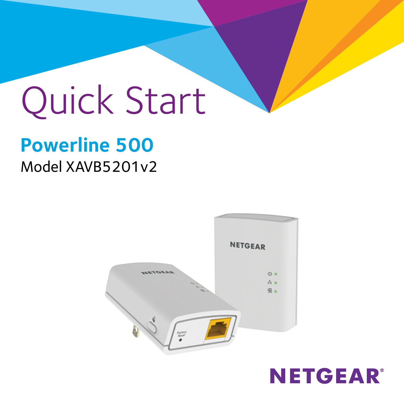# Quick Start

# **Powerline 500** Model XAVB5201v2



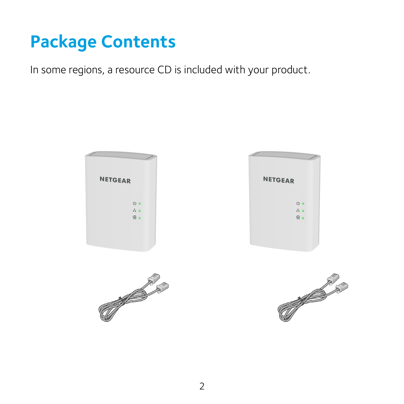# **Package Contents**

In some regions, a resource CD is included with your product.







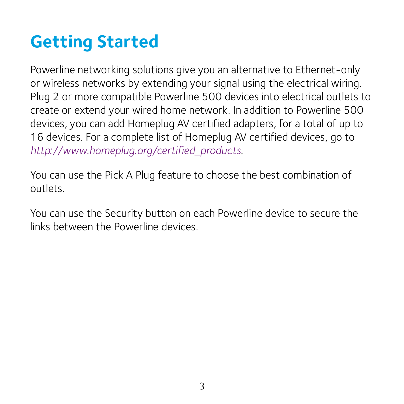# **Getting Started**

Powerline networking solutions give you an alternative to Ethernet-only or wireless networks by extending your signal using the electrical wiring. Plug 2 or more compatible Powerline 500 devices into electrical outlets to create or extend your wired home network. In addition to Powerline 500 devices, you can add Homeplug AV certified adapters, for a total of up to 16 devices. For a complete list of Homeplug AV certified devices, go to *[http://www.homeplug.org/certified\\_products](http://www.homeplug.org/certified_products)*.

You can use the Pick A Plug feature to choose the best combination of outlets.

You can use the Security button on each Powerline device to secure the links between the Powerline devices.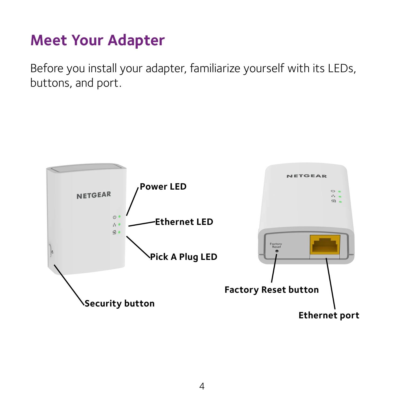## **Meet Your Adapter**

Before you install your adapter, familiarize yourself with its LEDs, buttons, and port.

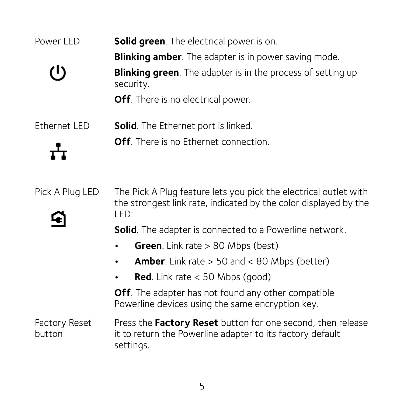| Power LED       | <b>Solid green.</b> The electrical power is on.                                 |
|-----------------|---------------------------------------------------------------------------------|
|                 | <b>Blinking amber</b> . The adapter is in power saving mode.                    |
| (1)             | <b>Blinking green.</b> The adapter is in the process of setting up<br>security. |
|                 | <b>Off.</b> There is no electrical power.                                       |
| Ethernet LED    | <b>Solid.</b> The Ethernet port is linked.                                      |
| ᅲ               | <b>Off.</b> There is no Ethernet connection.                                    |
| Pick A Plug LED | The Pick A Plug feature lets you pick the electrical outlet with                |



the strongest link rate, indicated by the color displayed by the LED:

**Solid**. The adapter is connected to a Powerline network.

- **• Green**. Link rate > 80 Mbps (best)
- **• Amber**. Link rate > 50 and < 80 Mbps (better)
- **Red**. Link rate  $<$  50 Mbps (good)

**Off**. The adapter has not found any other compatible Powerline devices using the same encryption key.

Factory Reset button Press the **Factory Reset** button for one second, then release it to return the Powerline adapter to its factory default settings.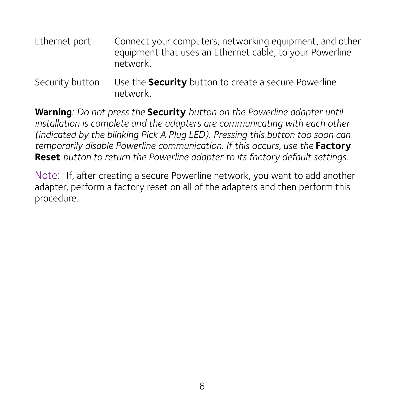- Ethernet port Connect your computers, networking equipment, and other equipment that uses an Ethernet cable, to your Powerline network.
- Security button Use the **Security** button to create a secure Powerline network.

**Warning***: Do not press the* **Security** *button on the Powerline adapter until installation is complete and the adapters are communicating with each other (indicated by the blinking Pick A Plug LED). Pressing this button too soon can temporarily disable Powerline communication. If this occurs, use the* **Factory Reset** *button to return the Powerline adapter to its factory default settings.*

Note: If, after creating a secure Powerline network, you want to add another adapter, perform a factory reset on all of the adapters and then perform this procedure.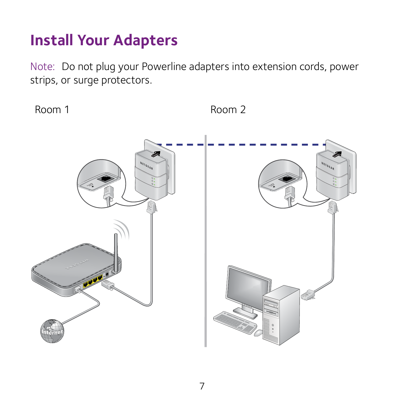### **Install Your Adapters**

Note: Do not plug your Powerline adapters into extension cords, power strips, or surge protectors.

Room 1 Room 2

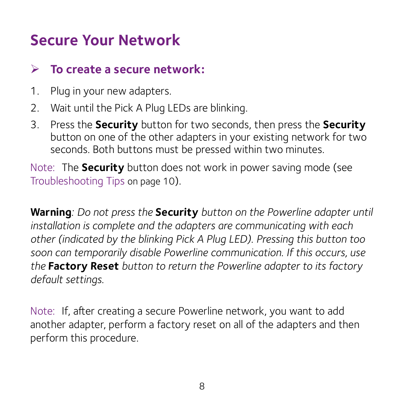## **Secure Your Network**

#### ¾ **To create a secure network:**

- 1. Plug in your new adapters.
- 2. Wait until the Pick A Plug LEDs are blinking.
- 3. Press the **Security** button for two seconds, then press the **Security** button on one of the other adapters in your existing network for two seconds. Both buttons must be pressed within two minutes.

Note: The **Security** button does not work in power saving mode (see [Troubleshooting Tips on page 10\)](#page-9-0).

**Warning***: Do not press the* **Security** *button on the Powerline adapter until installation is complete and the adapters are communicating with each other (indicated by the blinking Pick A Plug LED). Pressing this button too soon can temporarily disable Powerline communication. If this occurs, use the* **Factory Reset** *button to return the Powerline adapter to its factory default settings.*

Note: If, after creating a secure Powerline network, you want to add another adapter, perform a factory reset on all of the adapters and then perform this procedure.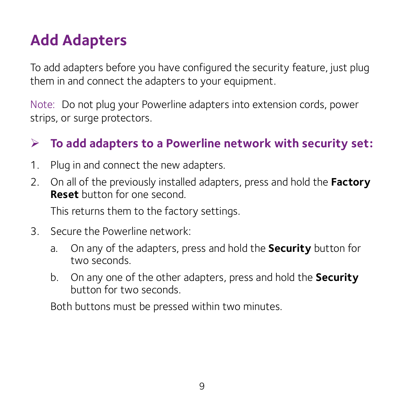## **Add Adapters**

To add adapters before you have configured the security feature, just plug them in and connect the adapters to your equipment.

Note: Do not plug your Powerline adapters into extension cords, power strips, or surge protectors.

#### ¾ **To add adapters to a Powerline network with security set:**

- 1. Plug in and connect the new adapters.
- 2. On all of the previously installed adapters, press and hold the **Factory Reset** button for one second.

This returns them to the factory settings.

- 3. Secure the Powerline network:
	- a. On any of the adapters, press and hold the **Security** button for two seconds.
	- b. On any one of the other adapters, press and hold the **Security** button for two seconds.

Both buttons must be pressed within two minutes.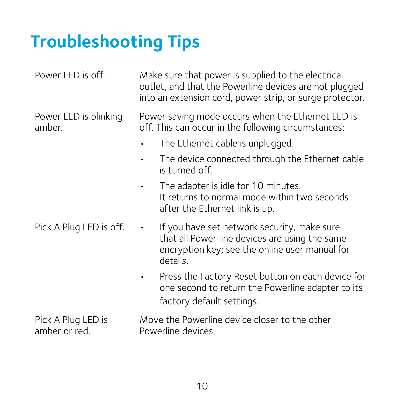# <span id="page-9-0"></span>**Troubleshooting Tips**

| Power LED is off.                   | Make sure that power is supplied to the electrical<br>outlet, and that the Powerline devices are not plugged<br>into an extension cord, power strip, or surge protector. |
|-------------------------------------|--------------------------------------------------------------------------------------------------------------------------------------------------------------------------|
| Power LED is blinking<br>amber.     | Power saving mode occurs when the Ethernet LED is<br>off. This can occur in the following circumstances:                                                                 |
|                                     | The Ethernet cable is unplugged.<br>$\bullet$                                                                                                                            |
|                                     | The device connected through the Ethernet cable<br>$\bullet$<br>is turned off                                                                                            |
|                                     | The adapter is idle for 10 minutes.<br>$\bullet$<br>It returns to normal mode within two seconds<br>after the Ethernet link is up.                                       |
| Pick A Plug LED is off.             | If you have set network security, make sure<br>$\bullet$<br>that all Power line devices are using the same<br>encryption key; see the online user manual for<br>details. |
|                                     | Press the Factory Reset button on each device for<br>one second to return the Powerline adapter to its<br>factory default settings.                                      |
| Pick A Plug LED is<br>amber or red. | Move the Powerline device closer to the other<br>Powerline devices.                                                                                                      |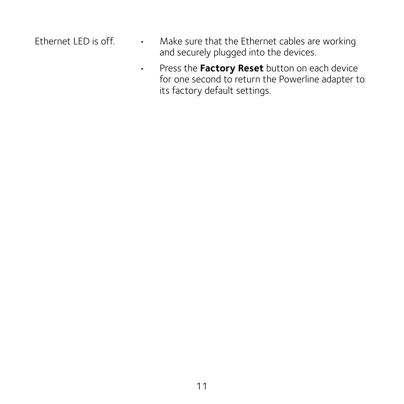- Ethernet LED is off. Make sure that the Ethernet cables are working and securely plugged into the devices.
	- • Press the **Factory Reset** button on each device for one second to return the Powerline adapter to its factory default settings.